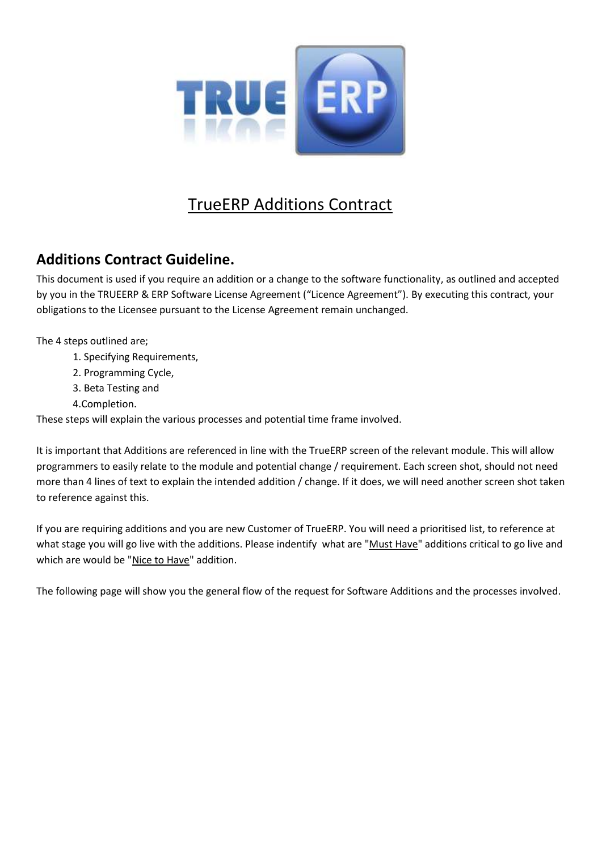

# TrueERP Additions Contract

# **Additions Contract Guideline.**

This document is used if you require an addition or a change to the software functionality, as outlined and accepted by you in the TRUEERP & ERP Software License Agreement ("Licence Agreement"). By executing this contract, your obligations to the Licensee pursuant to the License Agreement remain unchanged.

The 4 steps outlined are;

- 1. Specifying Requirements,
- 2. Programming Cycle,
- 3. Beta Testing and
- 4.Completion.

These steps will explain the various processes and potential time frame involved.

It is important that Additions are referenced in line with the TrueERP screen of the relevant module. This will allow programmers to easily relate to the module and potential change / requirement. Each screen shot, should not need more than 4 lines of text to explain the intended addition / change. If it does, we will need another screen shot taken to reference against this.

If you are requiring additions and you are new Customer of TrueERP. You will need a prioritised list, to reference at what stage you will go live with the additions. Please indentify what are "Must Have" additions critical to go live and which are would be "Nice to Have" addition.

The following page will show you the general flow of the request for Software Additions and the processes involved.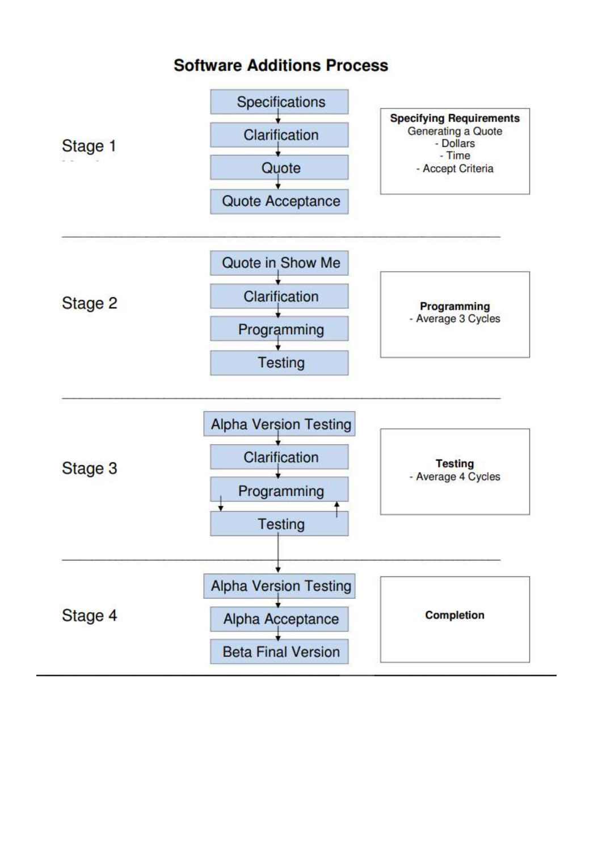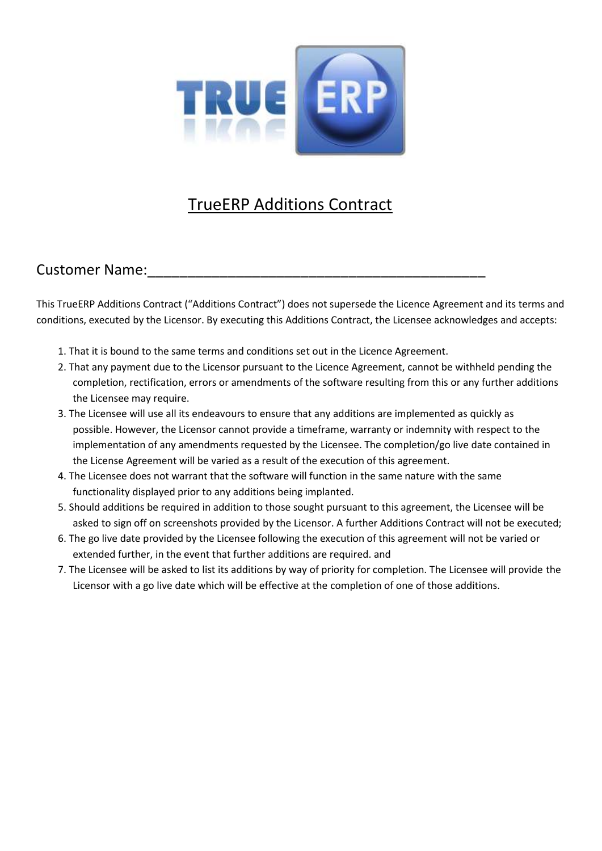

# TrueERP Additions Contract

### Customer Name:

This TrueERP Additions Contract ("Additions Contract") does not supersede the Licence Agreement and its terms and conditions, executed by the Licensor. By executing this Additions Contract, the Licensee acknowledges and accepts:

- 1. That it is bound to the same terms and conditions set out in the Licence Agreement.
- 2. That any payment due to the Licensor pursuant to the Licence Agreement, cannot be withheld pending the completion, rectification, errors or amendments of the software resulting from this or any further additions the Licensee may require.
- 3. The Licensee will use all its endeavours to ensure that any additions are implemented as quickly as possible. However, the Licensor cannot provide a timeframe, warranty or indemnity with respect to the implementation of any amendments requested by the Licensee. The completion/go live date contained in the License Agreement will be varied as a result of the execution of this agreement.
- 4. The Licensee does not warrant that the software will function in the same nature with the same functionality displayed prior to any additions being implanted.
- 5. Should additions be required in addition to those sought pursuant to this agreement, the Licensee will be asked to sign off on screenshots provided by the Licensor. A further Additions Contract will not be executed;
- 6. The go live date provided by the Licensee following the execution of this agreement will not be varied or extended further, in the event that further additions are required. and
- 7. The Licensee will be asked to list its additions by way of priority for completion. The Licensee will provide the Licensor with a go live date which will be effective at the completion of one of those additions.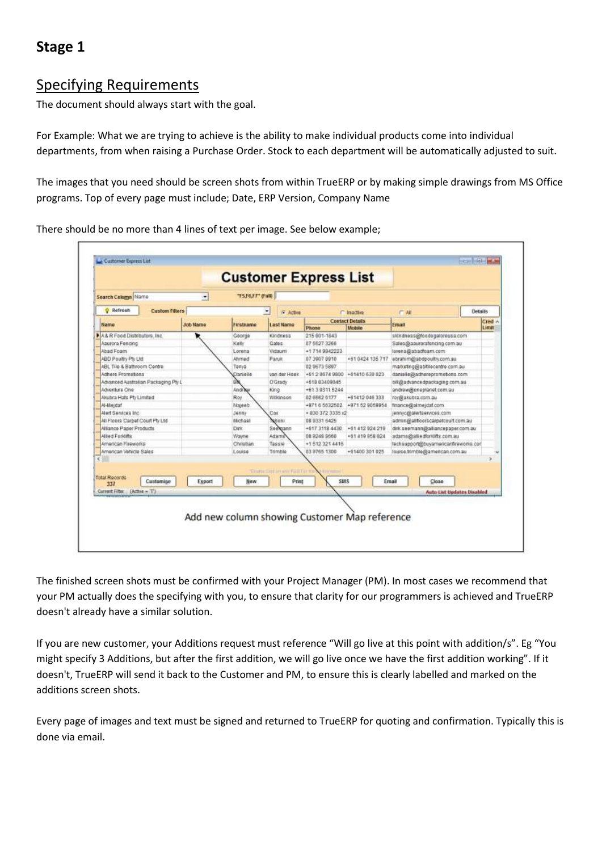# **Stage 1**

### Specifying Requirements

The document should always start with the goal.

For Example: What we are trying to achieve is the ability to make individual products come into individual departments, from when raising a Purchase Order. Stock to each department will be automatically adjusted to suit.

The images that you need should be screen shots from within TrueERP or by making simple drawings from MS Office programs. Top of every page must include; Date, ERP Version, Company Name

| O Refresh<br><b>Custom Filters</b><br>Details<br>G Active<br>$F = AH$<br>C inactive<br><b>Contact Details</b><br><b>Job Name</b><br>Firstname<br>Email<br>Name<br><b>Last Name</b><br>Limit<br>Phone<br>Mobile<br>signdness@fgodsgaloreusa.com<br>215 801-1843<br>George<br>Kindness<br>Gates:<br>Aaurora Fencing<br>Kelly<br>07 5527 3266<br>Sales@aaurorafencing.com.au<br>Abad Foam<br>Victaum<br>+1714 9942223<br>forena@abadfoam.com<br>Lorena<br>+61 0424 135 717<br>ABD Poultry Ptv Ltd.<br>Altimed<br>Paruk<br>07 3907 8910<br>ebrahim@abdpoulth; com au<br>ABL Tile & Bathroom Centre<br>02 9673 5897<br>marketing@abitlecentre.com.au<br>Tanya<br>Adhere Promotions<br>Danielle<br>van der Hoek<br>+61296749800 +61410639023<br>danielie@adherepromotions.com<br>Advanced Australian Packaging Pty L<br>O'Grady<br>+618 83409045<br>bill@advancedpackaging.com.au<br>ω<br>Andrew<br>Adventure One<br>+61 3 9311 5244<br>King<br>andrew@oneplanet.com.au<br>Akubra Hafs Pty Limited<br>Roy<br>Wilkinson<br>02 6562 6177<br>+61412 046 333<br>roy@akubra.com.au<br>+9716 5632502 +971 62 9059954<br>Al-Meidaf<br>Najeeb<br>finance@almejdat.com<br>+ 830 372 3335 x2<br>Aleit Services Inc.<br>Cox<br>Jenny<br>jennyc@alertservices.com<br>All Floors Carpet Court Pty Ltd.<br>shoni<br>08 9331 6425<br>admin@alffoorscarpetcourt.com.au<br>Michael<br>Seekuann<br>Alliance Paper Products<br>+61 412 924 219<br>Dirk:<br>+617 3118 4430<br>dirk.seemann@alliancepaper.com.au<br>Adams<br>Allied Forklifts<br>0892489860<br>+61 419 958 824<br>adams@alliedforitifts.com.au<br>Wayne<br>American Fireworks<br>Tassie<br>+1 512 321 4416<br>fechsupport@buyamericanfireworks.cor<br>Christian<br>American Vehicle Sales<br>louise.trimble@american.com.au<br>Louise<br>Trimble<br>03 9765 1300<br>+61400 301 025<br>ä.<br>Taurus Carl in will Fight Far to<br>Himillin<br>SMS<br>Customise<br>Print<br>Close<br>Export<br>Naw<br>Email<br>337 | Search Column Name                                  | $\left  \cdot \right $ | "F5,F6,F7" (Full) |  |  |        |
|------------------------------------------------------------------------------------------------------------------------------------------------------------------------------------------------------------------------------------------------------------------------------------------------------------------------------------------------------------------------------------------------------------------------------------------------------------------------------------------------------------------------------------------------------------------------------------------------------------------------------------------------------------------------------------------------------------------------------------------------------------------------------------------------------------------------------------------------------------------------------------------------------------------------------------------------------------------------------------------------------------------------------------------------------------------------------------------------------------------------------------------------------------------------------------------------------------------------------------------------------------------------------------------------------------------------------------------------------------------------------------------------------------------------------------------------------------------------------------------------------------------------------------------------------------------------------------------------------------------------------------------------------------------------------------------------------------------------------------------------------------------------------------------------------------------------------------------------------------------------------------------------------------------------------------------------------|-----------------------------------------------------|------------------------|-------------------|--|--|--------|
|                                                                                                                                                                                                                                                                                                                                                                                                                                                                                                                                                                                                                                                                                                                                                                                                                                                                                                                                                                                                                                                                                                                                                                                                                                                                                                                                                                                                                                                                                                                                                                                                                                                                                                                                                                                                                                                                                                                                                      |                                                     |                        |                   |  |  |        |
|                                                                                                                                                                                                                                                                                                                                                                                                                                                                                                                                                                                                                                                                                                                                                                                                                                                                                                                                                                                                                                                                                                                                                                                                                                                                                                                                                                                                                                                                                                                                                                                                                                                                                                                                                                                                                                                                                                                                                      |                                                     |                        |                   |  |  | Cred A |
|                                                                                                                                                                                                                                                                                                                                                                                                                                                                                                                                                                                                                                                                                                                                                                                                                                                                                                                                                                                                                                                                                                                                                                                                                                                                                                                                                                                                                                                                                                                                                                                                                                                                                                                                                                                                                                                                                                                                                      |                                                     |                        |                   |  |  |        |
|                                                                                                                                                                                                                                                                                                                                                                                                                                                                                                                                                                                                                                                                                                                                                                                                                                                                                                                                                                                                                                                                                                                                                                                                                                                                                                                                                                                                                                                                                                                                                                                                                                                                                                                                                                                                                                                                                                                                                      | A& R Food Distributors, Inc.                        |                        |                   |  |  |        |
|                                                                                                                                                                                                                                                                                                                                                                                                                                                                                                                                                                                                                                                                                                                                                                                                                                                                                                                                                                                                                                                                                                                                                                                                                                                                                                                                                                                                                                                                                                                                                                                                                                                                                                                                                                                                                                                                                                                                                      |                                                     |                        |                   |  |  |        |
|                                                                                                                                                                                                                                                                                                                                                                                                                                                                                                                                                                                                                                                                                                                                                                                                                                                                                                                                                                                                                                                                                                                                                                                                                                                                                                                                                                                                                                                                                                                                                                                                                                                                                                                                                                                                                                                                                                                                                      |                                                     |                        |                   |  |  |        |
|                                                                                                                                                                                                                                                                                                                                                                                                                                                                                                                                                                                                                                                                                                                                                                                                                                                                                                                                                                                                                                                                                                                                                                                                                                                                                                                                                                                                                                                                                                                                                                                                                                                                                                                                                                                                                                                                                                                                                      |                                                     |                        |                   |  |  |        |
|                                                                                                                                                                                                                                                                                                                                                                                                                                                                                                                                                                                                                                                                                                                                                                                                                                                                                                                                                                                                                                                                                                                                                                                                                                                                                                                                                                                                                                                                                                                                                                                                                                                                                                                                                                                                                                                                                                                                                      |                                                     |                        |                   |  |  |        |
|                                                                                                                                                                                                                                                                                                                                                                                                                                                                                                                                                                                                                                                                                                                                                                                                                                                                                                                                                                                                                                                                                                                                                                                                                                                                                                                                                                                                                                                                                                                                                                                                                                                                                                                                                                                                                                                                                                                                                      |                                                     |                        |                   |  |  |        |
|                                                                                                                                                                                                                                                                                                                                                                                                                                                                                                                                                                                                                                                                                                                                                                                                                                                                                                                                                                                                                                                                                                                                                                                                                                                                                                                                                                                                                                                                                                                                                                                                                                                                                                                                                                                                                                                                                                                                                      |                                                     |                        |                   |  |  |        |
|                                                                                                                                                                                                                                                                                                                                                                                                                                                                                                                                                                                                                                                                                                                                                                                                                                                                                                                                                                                                                                                                                                                                                                                                                                                                                                                                                                                                                                                                                                                                                                                                                                                                                                                                                                                                                                                                                                                                                      |                                                     |                        |                   |  |  |        |
|                                                                                                                                                                                                                                                                                                                                                                                                                                                                                                                                                                                                                                                                                                                                                                                                                                                                                                                                                                                                                                                                                                                                                                                                                                                                                                                                                                                                                                                                                                                                                                                                                                                                                                                                                                                                                                                                                                                                                      |                                                     |                        |                   |  |  |        |
|                                                                                                                                                                                                                                                                                                                                                                                                                                                                                                                                                                                                                                                                                                                                                                                                                                                                                                                                                                                                                                                                                                                                                                                                                                                                                                                                                                                                                                                                                                                                                                                                                                                                                                                                                                                                                                                                                                                                                      |                                                     |                        |                   |  |  |        |
|                                                                                                                                                                                                                                                                                                                                                                                                                                                                                                                                                                                                                                                                                                                                                                                                                                                                                                                                                                                                                                                                                                                                                                                                                                                                                                                                                                                                                                                                                                                                                                                                                                                                                                                                                                                                                                                                                                                                                      |                                                     |                        |                   |  |  |        |
|                                                                                                                                                                                                                                                                                                                                                                                                                                                                                                                                                                                                                                                                                                                                                                                                                                                                                                                                                                                                                                                                                                                                                                                                                                                                                                                                                                                                                                                                                                                                                                                                                                                                                                                                                                                                                                                                                                                                                      |                                                     |                        |                   |  |  |        |
|                                                                                                                                                                                                                                                                                                                                                                                                                                                                                                                                                                                                                                                                                                                                                                                                                                                                                                                                                                                                                                                                                                                                                                                                                                                                                                                                                                                                                                                                                                                                                                                                                                                                                                                                                                                                                                                                                                                                                      |                                                     |                        |                   |  |  |        |
|                                                                                                                                                                                                                                                                                                                                                                                                                                                                                                                                                                                                                                                                                                                                                                                                                                                                                                                                                                                                                                                                                                                                                                                                                                                                                                                                                                                                                                                                                                                                                                                                                                                                                                                                                                                                                                                                                                                                                      |                                                     |                        |                   |  |  |        |
|                                                                                                                                                                                                                                                                                                                                                                                                                                                                                                                                                                                                                                                                                                                                                                                                                                                                                                                                                                                                                                                                                                                                                                                                                                                                                                                                                                                                                                                                                                                                                                                                                                                                                                                                                                                                                                                                                                                                                      |                                                     |                        |                   |  |  |        |
|                                                                                                                                                                                                                                                                                                                                                                                                                                                                                                                                                                                                                                                                                                                                                                                                                                                                                                                                                                                                                                                                                                                                                                                                                                                                                                                                                                                                                                                                                                                                                                                                                                                                                                                                                                                                                                                                                                                                                      |                                                     |                        |                   |  |  |        |
|                                                                                                                                                                                                                                                                                                                                                                                                                                                                                                                                                                                                                                                                                                                                                                                                                                                                                                                                                                                                                                                                                                                                                                                                                                                                                                                                                                                                                                                                                                                                                                                                                                                                                                                                                                                                                                                                                                                                                      | ¢                                                   |                        |                   |  |  |        |
| <b>Auto List Updates Disabled</b>                                                                                                                                                                                                                                                                                                                                                                                                                                                                                                                                                                                                                                                                                                                                                                                                                                                                                                                                                                                                                                                                                                                                                                                                                                                                                                                                                                                                                                                                                                                                                                                                                                                                                                                                                                                                                                                                                                                    | <b>Total Records</b><br>Current Filter (Active = T) |                        |                   |  |  |        |

There should be no more than 4 lines of text per image. See below example;

The finished screen shots must be confirmed with your Project Manager (PM). In most cases we recommend that your PM actually does the specifying with you, to ensure that clarity for our programmers is achieved and TrueERP doesn't already have a similar solution.

If you are new customer, your Additions request must reference "Will go live at this point with addition/s". Eg "You might specify 3 Additions, but after the first addition, we will go live once we have the first addition working". If it doesn't, TrueERP will send it back to the Customer and PM, to ensure this is clearly labelled and marked on the additions screen shots.

Every page of images and text must be signed and returned to TrueERP for quoting and confirmation. Typically this is done via email.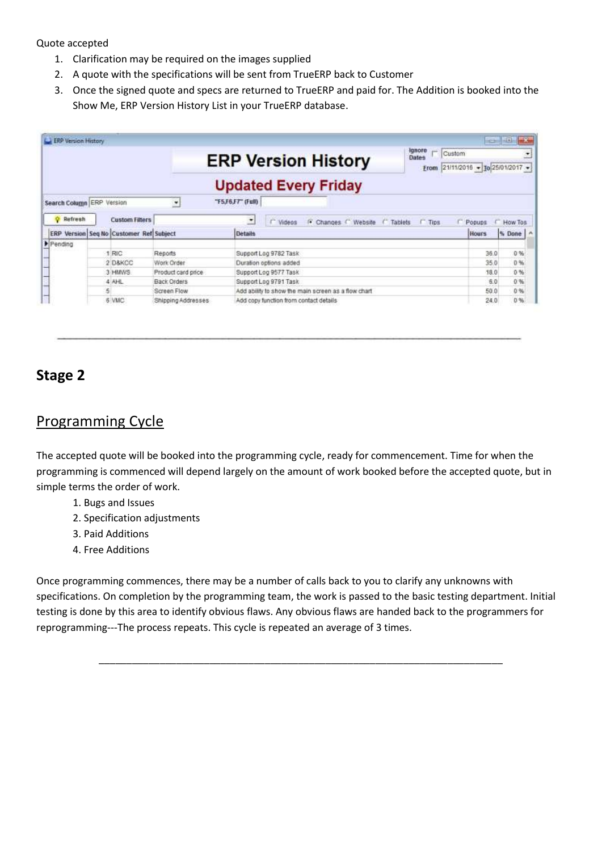Quote accepted

- 1. Clarification may be required on the images supplied
- 2. A quote with the specifications will be sent from TrueERP back to Customer
- 3. Once the signed quote and specs are returned to TrueERP and paid for. The Addition is booked into the Show Me, ERP Version History List in your TrueERP database.

| <b>L. ERP Version History</b> |                                         |                    |                                                                                 |                              | <b>icallists</b><br>of S |
|-------------------------------|-----------------------------------------|--------------------|---------------------------------------------------------------------------------|------------------------------|--------------------------|
|                               |                                         |                    | <b>Ignore</b><br>pins.<br>Custom<br><b>ERP Version History</b><br>Dates<br>From | 21/11/2016 - To 25/01/2017 - | $\bullet$                |
|                               |                                         |                    | <b>Updated Every Friday</b>                                                     |                              |                          |
| Search Column ERP Version     |                                         | $\overline{ }$     | "F5,F6,F7" (Full)                                                               |                              |                          |
| <b>Q</b> Refresh              | <b>Custom Filters</b>                   |                    | $\overline{ }$<br>F Changes C Website C Tablets<br><b>Tips</b><br>Videos        | Popups                       | How Tos.                 |
|                               | ERP Version Seg No Customer Ref Subject |                    | <b>Details</b>                                                                  | <b>Hours</b>                 | % Done                   |
| Pending                       |                                         |                    |                                                                                 |                              |                          |
|                               | <b>RIC</b>                              | Reports            | Support Log 9782 Task                                                           | 36.0                         | 0%                       |
|                               | 2 D&KCC                                 | Work Order         | Duration options added                                                          | 35.0                         | 0%                       |
|                               | 3 HMWS                                  | Product card price | Support Log 9577 Task                                                           | 18.0                         | 0.56                     |
|                               | 4 AHL                                   | Back Orders        | Support Log 9791 Task                                                           | 6.0                          | 0%                       |
|                               |                                         | Screen Flow        | Add ability to show the main screen as a flow chart                             | 50.0                         | 0%                       |
|                               | 6 VMC                                   | Shipping Addresses | Add copy function from contact details                                          | 24.0                         | 0.96                     |

## **Stage 2**

#### Programming Cycle

The accepted quote will be booked into the programming cycle, ready for commencement. Time for when the programming is commenced will depend largely on the amount of work booked before the accepted quote, but in simple terms the order of work.

- 1. Bugs and Issues
- 2. Specification adjustments
- 3. Paid Additions
- 4. Free Additions

Once programming commences, there may be a number of calls back to you to clarify any unknowns with specifications. On completion by the programming team, the work is passed to the basic testing department. Initial testing is done by this area to identify obvious flaws. Any obvious flaws are handed back to the programmers for reprogramming---The process repeats. This cycle is repeated an average of 3 times.

\_\_\_\_\_\_\_\_\_\_\_\_\_\_\_\_\_\_\_\_\_\_\_\_\_\_\_\_\_\_\_\_\_\_\_\_\_\_\_\_\_\_\_\_\_\_\_\_\_\_\_\_\_\_\_\_\_\_\_\_\_\_\_\_\_\_\_\_\_\_\_\_\_